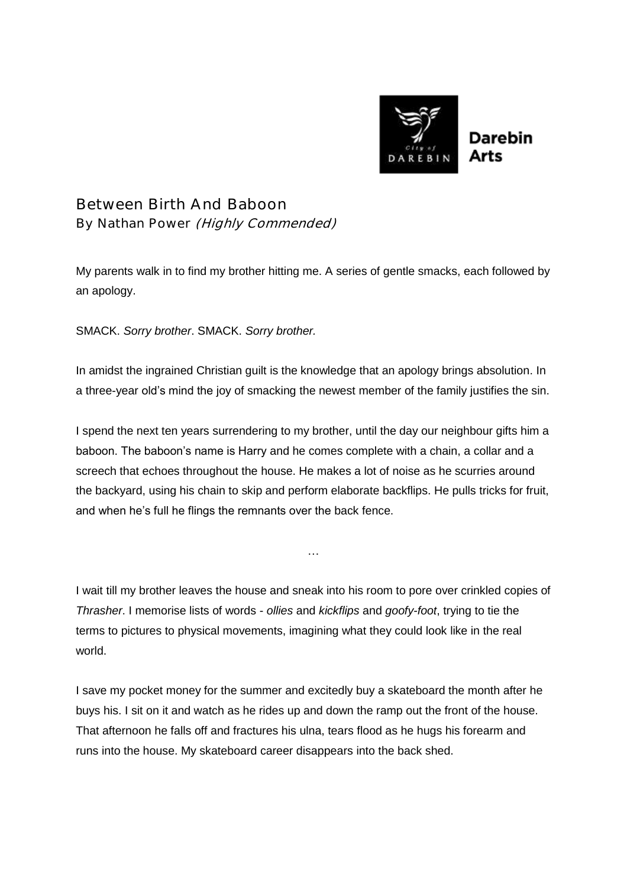

Between Birth And Baboon By Nathan Power (Highly Commended)

My parents walk in to find my brother hitting me. A series of gentle smacks, each followed by an apology.

SMACK. *Sorry brother*. SMACK. *Sorry brother.*

In amidst the ingrained Christian guilt is the knowledge that an apology brings absolution. In a three-year old's mind the joy of smacking the newest member of the family justifies the sin.

I spend the next ten years surrendering to my brother, until the day our neighbour gifts him a baboon. The baboon's name is Harry and he comes complete with a chain, a collar and a screech that echoes throughout the house. He makes a lot of noise as he scurries around the backyard, using his chain to skip and perform elaborate backflips. He pulls tricks for fruit, and when he's full he flings the remnants over the back fence.

I wait till my brother leaves the house and sneak into his room to pore over crinkled copies of *Thrasher*. I memorise lists of words - *ollies* and *kickflips* and *goofy-foot*, trying to tie the terms to pictures to physical movements, imagining what they could look like in the real world.

…

I save my pocket money for the summer and excitedly buy a skateboard the month after he buys his. I sit on it and watch as he rides up and down the ramp out the front of the house. That afternoon he falls off and fractures his ulna, tears flood as he hugs his forearm and runs into the house. My skateboard career disappears into the back shed.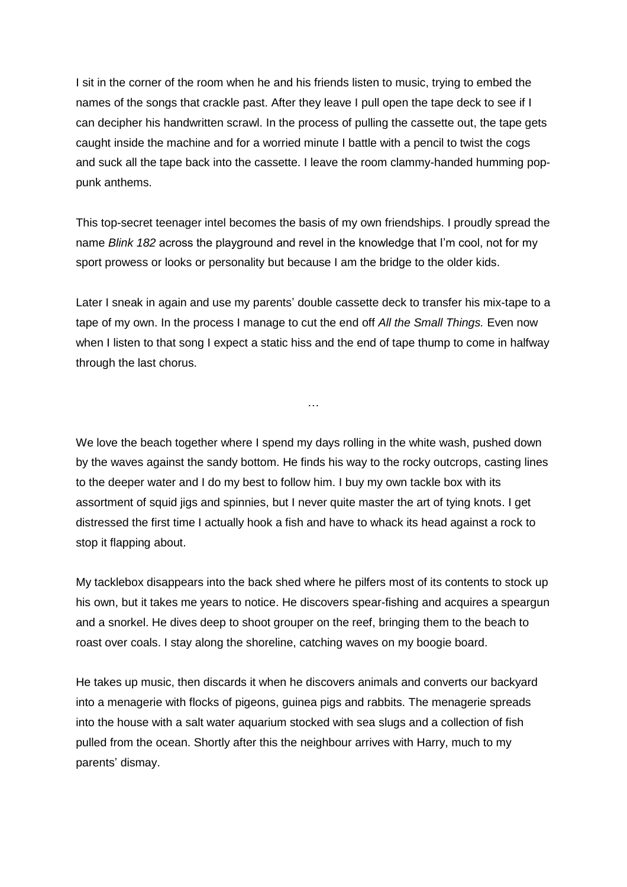I sit in the corner of the room when he and his friends listen to music, trying to embed the names of the songs that crackle past. After they leave I pull open the tape deck to see if I can decipher his handwritten scrawl. In the process of pulling the cassette out, the tape gets caught inside the machine and for a worried minute I battle with a pencil to twist the cogs and suck all the tape back into the cassette. I leave the room clammy-handed humming poppunk anthems.

This top-secret teenager intel becomes the basis of my own friendships. I proudly spread the name *Blink 182* across the playground and revel in the knowledge that I'm cool, not for my sport prowess or looks or personality but because I am the bridge to the older kids.

Later I sneak in again and use my parents' double cassette deck to transfer his mix-tape to a tape of my own. In the process I manage to cut the end off *All the Small Things.* Even now when I listen to that song I expect a static hiss and the end of tape thump to come in halfway through the last chorus.

…

We love the beach together where I spend my days rolling in the white wash, pushed down by the waves against the sandy bottom. He finds his way to the rocky outcrops, casting lines to the deeper water and I do my best to follow him. I buy my own tackle box with its assortment of squid jigs and spinnies, but I never quite master the art of tying knots. I get distressed the first time I actually hook a fish and have to whack its head against a rock to

stop it flapping about.

My tacklebox disappears into the back shed where he pilfers most of its contents to stock up his own, but it takes me years to notice. He discovers spear-fishing and acquires a speargun and a snorkel. He dives deep to shoot grouper on the reef, bringing them to the beach to roast over coals. I stay along the shoreline, catching waves on my boogie board.

He takes up music, then discards it when he discovers animals and converts our backyard into a menagerie with flocks of pigeons, guinea pigs and rabbits. The menagerie spreads into the house with a salt water aquarium stocked with sea slugs and a collection of fish pulled from the ocean. Shortly after this the neighbour arrives with Harry, much to my parents' dismay.